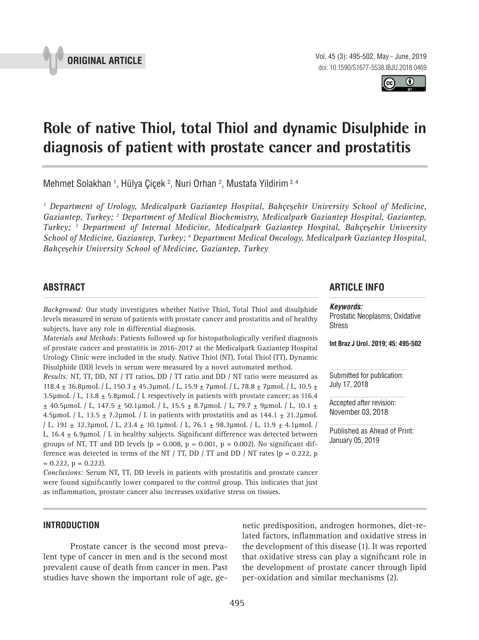



# **Role of native Thiol, total Thiol and dynamic Disulphide in diagnosis of patient with prostate cancer and prostatitis 1**

Mehmet Solakhan 1, Hülya Çiçek <sup>2</sup>, Nuri Orhan <sup>2</sup>, Mustafa Yildirim <sup>3, 4</sup>

*1 Department of Urology, Medicalpark Gaziantep Hospital, Bahçe*ş*ehir University School of Medicine,*  Gaziantep, Turkey; <sup>2</sup> Department of Medical Biochemistry, Medicalpark Gaziantep Hospital, Gaziantep, *Turkey; 3 Department of Internal Medicine, Medicalpark Gaziantep Hospital, Bahçe*ş*ehir University School of Medicine, Gaziantep, Turkey; 4 Department Medical Oncology, Medicalpark Gaziantep Hospital, Bahçe*ş*ehir University School of Medicine, Gaziantep, Turkey*

# **ABSTRACT**

*Background:* Our study investigates whether Native Thiol, Total Thiol and disulphide levels measured in serum of patients with prostate cancer and prostatitis and of healthy subjects, have any role in differential diagnosis.

*Materials and Methods:* Patients followed up for histopathologically verified diagnosis of prostate cancer and prostatitis in 2016-2017 at the Medicalpark Gaziantep Hospital Urology Clinic were included in the study. Native Thiol (NT), Total Thiol (TT), Dynamic Disulphide (DD) levels in serum were measured by a novel automated method.

*Results:* NT, TT, DD, NT / TT ratios, DD / TT ratio and DD / NT ratio were measured as 118.4 ± 36.8µmoL / L, 150.3 ± 45.3µmoL / L, 15.9 ± 7µmoL / L, 78.8 ± 7µmoL / L, 10.5 ± 3.5µmoL / L, 13.8  $\pm$  5.8µmoL / L respectively in patients with prostate cancer; as 116.4 ± 40.5µmoL / L, 147.5 ± 50.1µmoL / L, 15.5 ± 8.7µmoL / L, 79.7 ± 9µmoL / L, 10.1 ± 4.5µmoL / L, 13.5  $\pm$  7.2µmoL / L in patients with prostatitis and as 144.1  $\pm$  21.2µmoL / L, 191 ± 32.3µmoL / L, 23.4 ± 10.1µmoL / L, 76.1 ± 98.3µmoL / L, 11.9 ± 4.1µmoL / L,  $16.4 \pm 6.9$ µmoL / L in healthy subjects. Significant difference was detected between groups of NT, TT and DD levels ( $p = 0.008$ ,  $p = 0.001$ ,  $p = 0.002$ ). No significant difference was detected in terms of the NT  $/$  TT, DD  $/$  TT and DD  $/$  NT rates (p = 0.222, p  $= 0.222$ ,  $p = 0.222$ .

*Conclusions:* Serum NT, TT, DD levels in patients with prostatitis and prostate cancer were found significantly lower compared to the control group. This indicates that just as inflammation, prostate cancer also increases oxidative stress on tissues.

# **ARTICLE INFO**

### *Keywords:*

Prostatic Neoplasms; Oxidative Stress

**Int Braz J Urol. 2019; 45: 495-502**

Submitted for publication: July 17, 2018

Accepted after revision: November 03, 2018

Published as Ahead of Print: January 05, 2019

# **INTRODUCTION**

Prostate cancer is the second most prevalent type of cancer in men and is the second most prevalent cause of death from cancer in men. Past studies have shown the important role of age, genetic predisposition, androgen hormones, diet-related factors, inflammation and oxidative stress in the development of this disease (1). It was reported that oxidative stress can play a significant role in the development of prostate cancer through lipid per-oxidation and similar mechanisms (2).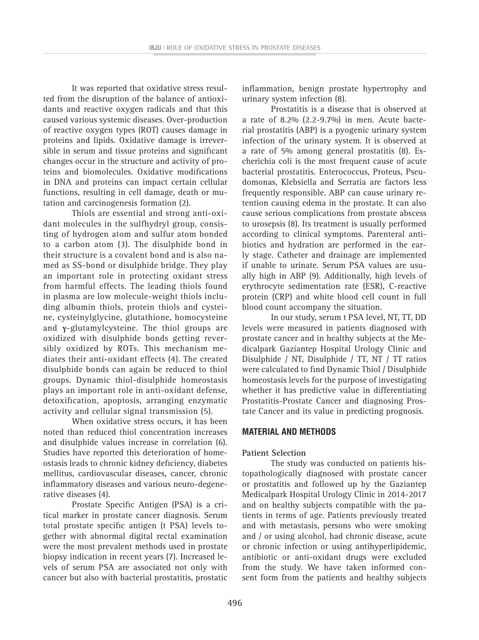It was reported that oxidative stress resulted from the disruption of the balance of antioxidants and reactive oxygen radicals and that this caused various systemic diseases. Over-production of reactive oxygen types (ROT) causes damage in proteins and lipids. Oxidative damage is irreversible in serum and tissue proteins and significant changes occur in the structure and activity of proteins and biomolecules. Oxidative modifications in DNA and proteins can impact certain cellular functions, resulting in cell damage, death or mutation and carcinogenesis formation (2).

Thiols are essential and strong anti-oxidant molecules in the sulfhydryl group, consisting of hydrogen atom and sulfur atom bonded to a carbon atom (3). The disulphide bond in their structure is a covalent bond and is also named as SS-bond or disulphide bridge. They play an important role in protecting oxidant stress from harmful effects. The leading thiols found in plasma are low molecule-weight thiols including albumin thiols, protein thiols and cysteine, cysteinylglycine, glutathione, homocysteine and **γ**-glutamylcysteine. The thiol groups are oxidized with disulphide bonds getting reversibly oxidized by ROTs. This mechanism mediates their anti-oxidant effects (4). The created disulphide bonds can again be reduced to thiol groups. Dynamic thiol-disulphide homeostasis plays an important role in anti-oxidant defense, detoxification, apoptosis, arranging enzymatic activity and cellular signal transmission (5).

When oxidative stress occurs, it has been noted than reduced thiol concentration increases and disulphide values increase in correlation (6). Studies have reported this deterioration of homeostasis leads to chronic kidney deficiency, diabetes mellitus, cardiovascular diseases, cancer, chronic inflammatory diseases and various neuro-degenerative diseases (4).

Prostate Specific Antigen (PSA) is a critical marker in prostate cancer diagnosis. Serum total prostate specific antigen (t PSA) levels together with abnormal digital rectal examination were the most prevalent methods used in prostate biopsy indication in recent years (7). Increased levels of serum PSA are associated not only with cancer but also with bacterial prostatitis, prostatic inflammation, benign prostate hypertrophy and urinary system infection (8).

Prostatitis is a disease that is observed at a rate of 8.2% (2.2-9.7%) in men. Acute bacterial prostatitis (ABP) is a pyogenic urinary system infection of the urinary system. It is observed at a rate of 5% among general prostatitis (8). Escherichia coli is the most frequent cause of acute bacterial prostatitis. Enterococcus, Proteus, Pseudomonas, Klebsiella and Serratia are factors less frequently responsible. ABP can cause urinary retention causing edema in the prostate. It can also cause serious complications from prostate abscess to urosepsis (8). Its treatment is usually performed according to clinical symptoms. Parenteral antibiotics and hydration are performed in the early stage. Catheter and drainage are implemented if unable to urinate. Serum PSA values are usually high in ABP (9). Additionally, high levels of erythrocyte sedimentation rate (ESR), C-reactive protein (CRP) and white blood cell count in full blood count accompany the situation.

In our study, serum t PSA level, NT, TT, DD levels were measured in patients diagnosed with prostate cancer and in healthy subjects at the Medicalpark Gaziantep Hospital Urology Clinic and Disulphide / NT, Disulphide / TT, NT / TT ratios were calculated to find Dynamic Thiol / Disulphide homeostasis levels for the purpose of investigating whether it has predictive value in differentiating Prostatitis-Prostate Cancer and diagnosing Prostate Cancer and its value in predicting prognosis.

# **MATERIAL AND METHODS**

# **Patient Selection**

The study was conducted on patients histopathologically diagnosed with prostate cancer or prostatitis and followed up by the Gaziantep Medicalpark Hospital Urology Clinic in 2014-2017 and on healthy subjects compatible with the patients in terms of age. Patients previously treated and with metastasis, persons who were smoking and / or using alcohol, had chronic disease, acute or chronic infection or using antihyperlipidemic, antibiotic or anti-oxidant drugs were excluded from the study. We have taken informed consent form from the patients and healthy subjects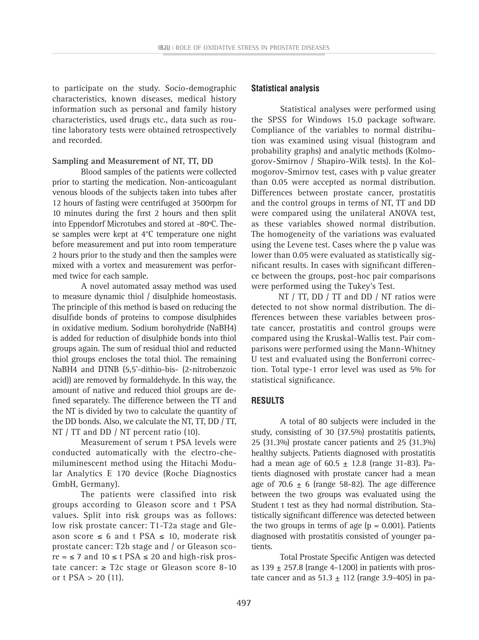to participate on the study. Socio-demographic characteristics, known diseases, medical history information such as personal and family history characteristics, used drugs etc., data such as routine laboratory tests were obtained retrospectively and recorded.

# **Sampling and Measurement of NT, TT, DD**

Blood samples of the patients were collected prior to starting the medication. Non-anticoagulant venous bloods of the subjects taken into tubes after 12 hours of fasting were centrifuged at 3500rpm for 10 minutes during the first 2 hours and then split into Eppendorf Microtubes and stored at -80ºC. These samples were kept at 4°C temperature one night before measurement and put into room temperature 2 hours prior to the study and then the samples were mixed with a vortex and measurement was performed twice for each sample.

A novel automated assay method was used to measure dynamic thiol / disulphide homeostasis. The principle of this method is based on reducing the disulfide bonds of proteins to compose disulphides in oxidative medium. Sodium borohydride (NaBH4) is added for reduction of disulphide bonds into thiol groups again. The sum of residual thiol and reducted thiol groups encloses the total thiol. The remaining NaBH4 and DTNB (5,5'-dithio-bis- (2-nitrobenzoic acid)) are removed by formaldehyde. In this way, the amount of native and reduced thiol groups are defined separately. The difference between the TT and the NT is divided by two to calculate the quantity of the DD bonds. Also, we calculate the NT, TT, DD / TT, NT / TT and DD / NT percent ratio (10).

Measurement of serum t PSA levels were conducted automatically with the electro-chemiluminescent method using the Hitachi Modular Analytics E 170 device (Roche Diagnostics GmbH, Germany).

The patients were classified into risk groups according to Gleason score and t PSA values. Split into risk groups was as follows: low risk prostate cancer: T1-T2a stage and Gleason score  $\leq 6$  and t PSA  $\leq 10$ , moderate risk prostate cancer: T2b stage and / or Gleason sco $re = \le 7$  and  $10 \le t$  PSA  $\le 20$  and high-risk prostate cancer:  $≥$  T2c stage or Gleason score 8-10 or t  $PSA > 20$  (11).

# **Statistical analysis**

Statistical analyses were performed using the SPSS for Windows 15.0 package software. Compliance of the variables to normal distribution was examined using visual (histogram and probability graphs) and analytic methods (Kolmogorov-Smirnov / Shapiro-Wilk tests). In the Kolmogorov-Smirnov test, cases with p value greater than 0.05 were accepted as normal distribution. Differences between prostate cancer, prostatitis and the control groups in terms of NT, TT and DD were compared using the unilateral ANOVA test, as these variables showed normal distribution. The homogeneity of the variations was evaluated using the Levene test. Cases where the p value was lower than 0.05 were evaluated as statistically significant results. In cases with significant difference between the groups, post-hoc pair comparisons were performed using the Tukey's Test.

NT / TT, DD / TT and DD / NT ratios were detected to not show normal distribution. The differences between these variables between prostate cancer, prostatitis and control groups were compared using the Kruskal-Wallis test. Pair comparisons were performed using the Mann-Whitney U test and evaluated using the Bonferroni correction. Total type-1 error level was used as 5% for statistical significance.

# **RESULTS**

A total of 80 subjects were included in the study, consisting of 30 (37.5%) prostatitis patients, 25 (31.3%) prostate cancer patients and 25 (31.3%) healthy subjects. Patients diagnosed with prostatitis had a mean age of  $60.5 \pm 12.8$  (range 31-83). Patients diagnosed with prostate cancer had a mean age of 70.6  $\pm$  6 (range 58-82). The age difference between the two groups was evaluated using the Student t test as they had normal distribution. Statistically significant difference was detected between the two groups in terms of age  $(p = 0.001)$ . Patients diagnosed with prostatitis consisted of younger patients.

Total Prostate Specific Antigen was detected as  $139 \pm 257.8$  (range 4-1200) in patients with prostate cancer and as  $51.3 \pm 112$  (range 3.9-405) in pa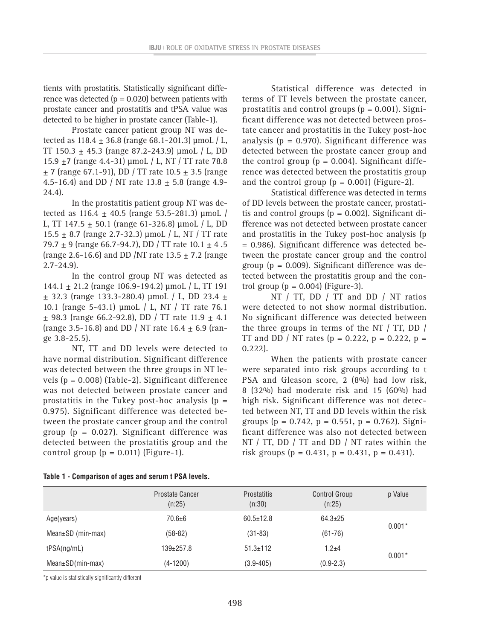tients with prostatitis. Statistically significant difference was detected ( $p = 0.020$ ) between patients with prostate cancer and prostatitis and tPSA value was detected to be higher in prostate cancer (Table-1).

Prostate cancer patient group NT was detected as  $118.4 \pm 36.8$  (range 68.1-201.3) µmoL / L, TT 150.3  $\pm$  45.3 (range 87.2-243.9) µmoL / L, DD 15.9 ±7 (range 4.4-31) µmoL / L, NT / TT rate 78.8  $\pm$  7 (range 67.1-91), DD / TT rate 10.5  $\pm$  3.5 (range 4.5-16.4) and DD / NT rate 13.8  $\pm$  5.8 (range 4.9-24.4).

In the prostatitis patient group NT was detected as 116.4  $\pm$  40.5 (range 53.5-281.3) µmoL / L, TT 147.5  $\pm$  50.1 (range 61-326.8) µmoL / L, DD 15.5  $\pm$  8.7 (range 2.7-32.3) µmoL / L, NT / TT rate 79.7  $\pm$  9 (range 66.7-94.7), DD / TT rate 10.1  $\pm$  4.5 (range 2.6-16.6) and DD /NT rate  $13.5 \pm 7.2$  (range 2.7-24.9).

In the control group NT was detected as 144.1 ± 21.2 (range 106.9-194.2) µmoL / L, TT 191  $\pm$  32.3 (range 133.3-280.4) µmoL / L, DD 23.4  $\pm$ 10.1 (range 5-43.1) µmoL / L, NT / TT rate 76.1  $+$  98.3 (range 66.2-92.8), DD / TT rate 11.9  $+$  4.1 (range 3.5-16.8) and DD / NT rate 16.4  $\pm$  6.9 (range 3.8-25.5).

NT, TT and DD levels were detected to have normal distribution. Significant difference was detected between the three groups in NT levels (p = 0.008) (Table-2). Significant difference was not detected between prostate cancer and prostatitis in the Tukey post-hoc analysis  $(p =$ 0.975). Significant difference was detected between the prostate cancer group and the control group ( $p = 0.027$ ). Significant difference was detected between the prostatitis group and the control group  $(p = 0.011)$  (Figure-1).

Statistical difference was detected in terms of TT levels between the prostate cancer, prostatitis and control groups  $(p = 0.001)$ . Significant difference was not detected between prostate cancer and prostatitis in the Tukey post-hoc analysis ( $p = 0.970$ ). Significant difference was detected between the prostate cancer group and the control group ( $p = 0.004$ ). Significant difference was detected between the prostatitis group and the control group  $(p = 0.001)$  (Figure-2).

Statistical difference was detected in terms of DD levels between the prostate cancer, prostatitis and control groups  $(p = 0.002)$ . Significant difference was not detected between prostate cancer and prostatitis in the Tukey post-hoc analysis (p = 0.986). Significant difference was detected between the prostate cancer group and the control group ( $p = 0.009$ ). Significant difference was detected between the prostatitis group and the control group  $(p = 0.004)$  (Figure-3).

NT / TT, DD / TT and DD / NT ratios were detected to not show normal distribution. No significant difference was detected between the three groups in terms of the NT / TT, DD / TT and DD / NT rates ( $p = 0.222$ ,  $p = 0.222$ ,  $p =$ 0.222).

When the patients with prostate cancer were separated into risk groups according to t PSA and Gleason score, 2 (8%) had low risk, 8 (32%) had moderate risk and 15 (60%) had high risk. Significant difference was not detected between NT, TT and DD levels within the risk groups  $(p = 0.742, p = 0.551, p = 0.762)$ . Significant difference was also not detected between NT / TT, DD / TT and DD / NT rates within the risk groups (p = 0.431, p = 0.431, p = 0.431).

|                              | <b>Prostate Cancer</b><br>(n:25) | <b>Prostatitis</b><br>(n:30) | <b>Control Group</b><br>(n:25) | p Value  |
|------------------------------|----------------------------------|------------------------------|--------------------------------|----------|
| Age(years)                   | $70.6 + 6$                       | $60.5 \pm 12.8$              | $64.3 \pm 25$                  | $0.001*$ |
| Mean $\pm$ SD (min-max)      | $(58-82)$                        | $(31 - 83)$                  | $(61 - 76)$                    |          |
| tPSA(ng/mL)                  | 139±257.8                        | $51.3 \pm 112$               | $1.2 + 4$                      | $0.001*$ |
| $Mean \pm SD(min \cdot max)$ | (4-1200)                         | $(3.9 - 405)$                | $(0.9 - 2.3)$                  |          |
|                              |                                  |                              |                                |          |

#### **Table 1 - Comparison of ages and serum t PSA levels.**

\*p value is statistically significantly different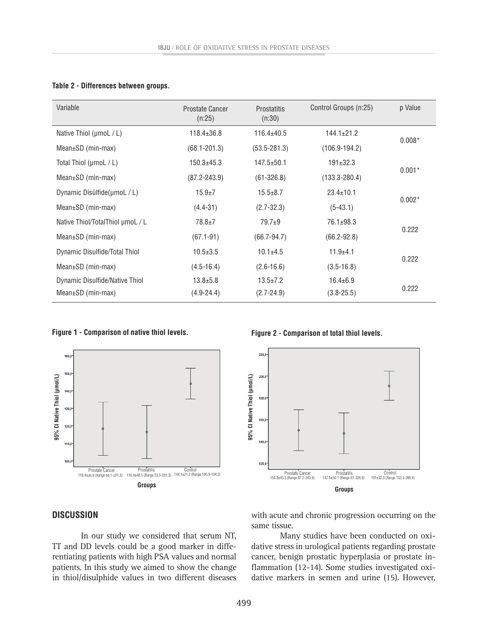| Variable                         | Prostate Cancer<br>(n:25) | <b>Prostatitis</b><br>(n:30) | Control Groups (n:25) | p Value  |
|----------------------------------|---------------------------|------------------------------|-----------------------|----------|
| Native Thiol (µmoL / L)          | $118.4 \pm 36.8$          | $116.4 \pm 40.5$             | $144.1 \pm 21.2$      | $0.008*$ |
| $Mean \pm SD$ (min-max)          | $(68.1 - 201.3)$          | $(53.5 - 281.3)$             | $(106.9 - 194.2)$     |          |
| Total Thiol (µmoL / L)           | $150.3 + 45.3$            | $147.5 + 50.1$               | $191 \pm 32.3$        | $0.001*$ |
| Mean $\pm$ SD (min-max)          | $(87.2 - 243.9)$          | $(61 - 326.8)$               | $(133.3 - 280.4)$     |          |
| Dynamic Disülfide(µmoL/L)        | $15.9 + 7$                | $15.5 \pm 8.7$               | $23.4 \pm 10.1$       | $0.002*$ |
| $Mean \pm SD$ (min-max)          | $(4.4 - 31)$              | $(2.7 - 32.3)$               | $(5-43.1)$            |          |
| Native Thiol/TotalThiol µmoL / L | $78.8 \pm 7$              | $79.7+9$                     | 76.1±98.3             | 0.222    |
| Mean±SD (min-max)                | $(67.1 - 91)$             | $(66.7 - 94.7)$              | $(66.2 - 92.8)$       |          |
| Dynamic Disulfide/Total Thiol    | $10.5 \pm 3.5$            | $10.1 + 4.5$                 | $11.9 + 4.1$          | 0.222    |
| $Mean \pm SD$ (min-max)          | $(4.5 - 16.4)$            | $(2.6 - 16.6)$               | $(3.5 - 16.8)$        |          |
| Dynamic Disulfide/Native Thiol   | $13.8 \pm 5.8$            | $13.5 \pm 7.2$               | $16.4 \pm 6.9$        | 0.222    |
| $Mean \pm SD$ (min-max)          | $(4.9 - 24.4)$            | $(2.7 - 24.9)$               | $(3.8 - 25.5)$        |          |

#### **Table 2 - Differences between groups.**

#### **Figure 1 - Comparison of native thiol levels. Figure 2 - Comparison of total thiol levels.**





# **DISCUSSION**

In our study we considered that serum NT, TT and DD levels could be a good marker in differentiating patients with high PSA values and normal patients. In this study we aimed to show the change in thiol/disulphide values in two different diseases with acute and chronic progression occurring on the same tissue.

Many studies have been conducted on oxidative stress in urological patients regarding prostate cancer, benign prostatic hyperplasia or prostate inflammation (12-14). Some studies investigated oxidative markers in semen and urine (15). However,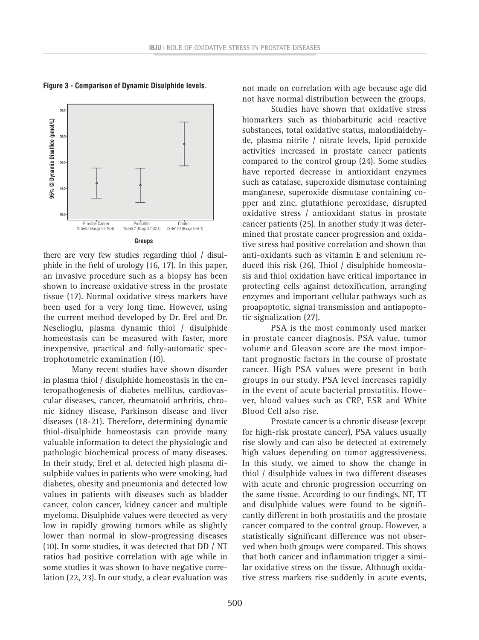



there are very few studies regarding thiol / disulphide in the field of urology (16, 17). In this paper, an invasive procedure such as a biopsy has been shown to increase oxidative stress in the prostate tissue (17). Normal oxidative stress markers have been used for a very long time. However, using the current method developed by Dr. Erel and Dr. Neselioglu, plasma dynamic thiol / disulphide homeostasis can be measured with faster, more inexpensive, practical and fully-automatic spectrophotometric examination (10).

Many recent studies have shown disorder in plasma thiol / disulphide homeostasis in the enteropathogenesis of diabetes mellitus, cardiovascular diseases, cancer, rheumatoid arthritis, chronic kidney disease, Parkinson disease and liver diseases (18-21). Therefore, determining dynamic thiol-disulphide homeostasis can provide many valuable information to detect the physiologic and pathologic biochemical process of many diseases. In their study, Erel et al. detected high plasma disulphide values in patients who were smoking, had diabetes, obesity and pneumonia and detected low values in patients with diseases such as bladder cancer, colon cancer, kidney cancer and multiple myeloma. Disulphide values were detected as very low in rapidly growing tumors while as slightly lower than normal in slow-progressing diseases (10). In some studies, it was detected that DD / NT ratios had positive correlation with age while in some studies it was shown to have negative correlation (22, 23). In our study, a clear evaluation was

not have normal distribution between the groups.

Studies have shown that oxidative stress biomarkers such as thiobarbituric acid reactive substances, total oxidative status, malondialdehyde, plasma nitrite / nitrate levels, lipid peroxide activities increased in prostate cancer patients compared to the control group (24). Some studies have reported decrease in antioxidant enzymes such as catalase, superoxide dismutase containing manganese, superoxide dismutase containing copper and zinc, glutathione peroxidase, disrupted oxidative stress / antioxidant status in prostate cancer patients (25). In another study it was determined that prostate cancer progression and oxidative stress had positive correlation and shown that anti-oxidants such as vitamin E and selenium reduced this risk (26). Thiol / disulphide homeostasis and thiol oxidation have critical importance in protecting cells against detoxification, arranging enzymes and important cellular pathways such as proapoptotic, signal transmission and antiapoptotic signalization (27).

PSA is the most commonly used marker in prostate cancer diagnosis. PSA value, tumor volume and Gleason score are the most important prognostic factors in the course of prostate cancer. High PSA values were present in both groups in our study. PSA level increases rapidly in the event of acute bacterial prostatitis. However, blood values such as CRP, ESR and White Blood Cell also rise.

Prostate cancer is a chronic disease (except for high-risk prostate cancer), PSA values usually rise slowly and can also be detected at extremely high values depending on tumor aggressiveness. In this study, we aimed to show the change in thiol / disulphide values in two different diseases with acute and chronic progression occurring on the same tissue. According to our findings, NT, TT and disulphide values were found to be significantly different in both prostatitis and the prostate cancer compared to the control group. However, a statistically significant difference was not observed when both groups were compared. This shows that both cancer and inflammation trigger a similar oxidative stress on the tissue. Although oxidative stress markers rise suddenly in acute events,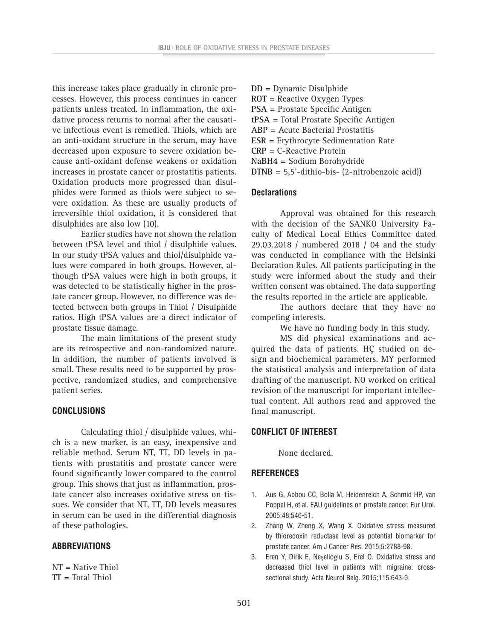this increase takes place gradually in chronic processes. However, this process continues in cancer patients unless treated. In inflammation, the oxidative process returns to normal after the causative infectious event is remedied. Thiols, which are an anti-oxidant structure in the serum, may have decreased upon exposure to severe oxidation because anti-oxidant defense weakens or oxidation increases in prostate cancer or prostatitis patients. Oxidation products more progressed than disulphides were formed as thiols were subject to severe oxidation. As these are usually products of irreversible thiol oxidation, it is considered that disulphides are also low (10).

Earlier studies have not shown the relation between tPSA level and thiol / disulphide values. In our study tPSA values and thiol/disulphide values were compared in both groups. However, although tPSA values were high in both groups, it was detected to be statistically higher in the prostate cancer group. However, no difference was detected between both groups in Thiol / Disulphide ratios. High tPSA values are a direct indicator of prostate tissue damage.

The main limitations of the present study are its retrospective and non-randomized nature. In addition, the number of patients involved is small. These results need to be supported by prospective, randomized studies, and comprehensive patient series.

# **CONCLUSIONS**

Calculating thiol / disulphide values, which is a new marker, is an easy, inexpensive and reliable method. Serum NT, TT, DD levels in patients with prostatitis and prostate cancer were found significantly lower compared to the control group. This shows that just as inflammation, prostate cancer also increases oxidative stress on tissues. We consider that NT, TT, DD levels measures in serum can be used in the differential diagnosis of these pathologies.

# **ABBREVIATIONS**

**NT =** Native Thiol **TT =** Total Thiol

- **DD =** Dynamic Disulphide
- **ROT =** Reactive Oxygen Types
- **PSA =** Prostate Specific Antigen
- **tPSA =** Total Prostate Specific Antigen
- **ABP =** Acute Bacterial Prostatitis
- **ESR =** Erythrocyte Sedimentation Rate
- **CRP =** C-Reactive Protein
- **NaBH4 =** Sodium Borohydride
- **DTNB =** 5,5'-dithio-bis- (2-nitrobenzoic acid))

# **Declarations**

Approval was obtained for this research with the decision of the SANKO University Faculty of Medical Local Ethics Committee dated 29.03.2018 / numbered 2018 / 04 and the study was conducted in compliance with the Helsinki Declaration Rules. All patients participating in the study were informed about the study and their written consent was obtained. The data supporting the results reported in the article are applicable.

The authors declare that they have no competing interests.

We have no funding body in this study.

MS did physical examinations and acquired the data of patients. HÇ studied on design and biochemical parameters. MY performed the statistical analysis and interpretation of data drafting of the manuscript. NO worked on critical revision of the manuscript for important intellectual content. All authors read and approved the final manuscript.

# **CONFLICT OF INTEREST**

None declared.

# **REFERENCES**

- 1. Aus G, Abbou CC, Bolla M, Heidenreich A, Schmid HP, van Poppel H, et al. EAU guidelines on prostate cancer. Eur Urol. 2005;48:546-51.
- 2. Zhang W, Zheng X, Wang X. Oxidative stress measured by thioredoxin reductase level as potential biomarker for prostate cancer. Am J Cancer Res. 2015;5:2788-98.
- 3. Eren Y, Dirik E, Neşelioğlu S, Erel Ö. Oxidative stress and decreased thiol level in patients with migraine: crosssectional study. Acta Neurol Belg. 2015;115:643-9.